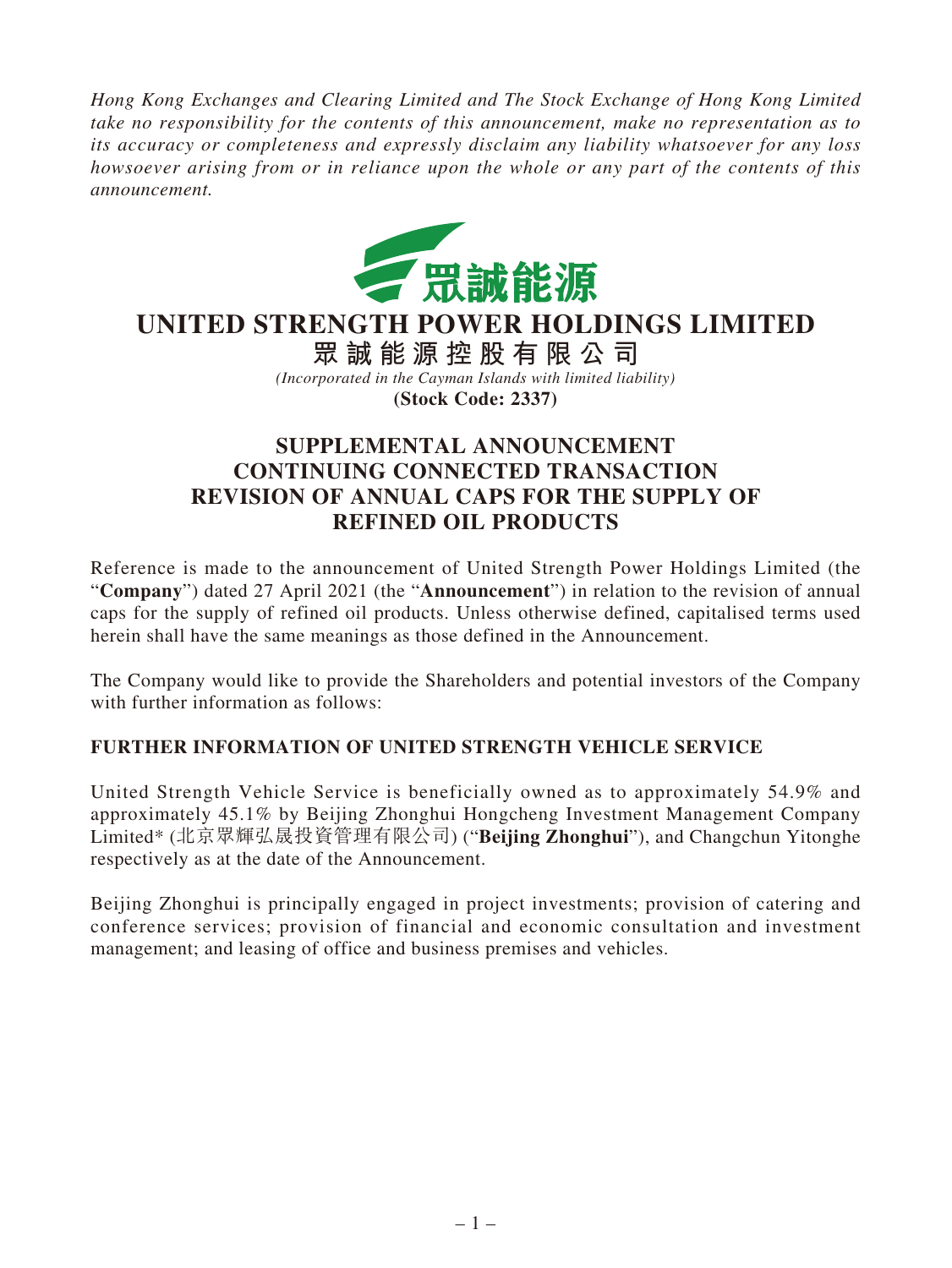*Hong Kong Exchanges and Clearing Limited and The Stock Exchange of Hong Kong Limited take no responsibility for the contents of this announcement, make no representation as to its accuracy or completeness and expressly disclaim any liability whatsoever for any loss howsoever arising from or in reliance upon the whole or any part of the contents of this announcement.*



## **UNITED STRENGTH POWER HOLDINGS LIMITED**

**眾誠能源控股有限公司** *(Incorporated in the Cayman Islands with limited liability)* **(Stock Code: 2337)**

## **SUPPLEMENTAL ANNOUNCEMENT CONTINUING CONNECTED TRANSACTION REVISION OF ANNUAL CAPS FOR THE SUPPLY OF REFINED OIL PRODUCTS**

Reference is made to the announcement of United Strength Power Holdings Limited (the "**Company**") dated 27 April 2021 (the "**Announcement**") in relation to the revision of annual caps for the supply of refined oil products. Unless otherwise defined, capitalised terms used herein shall have the same meanings as those defined in the Announcement.

The Company would like to provide the Shareholders and potential investors of the Company with further information as follows:

## **FURTHER INFORMATION OF UNITED STRENGTH VEHICLE SERVICE**

United Strength Vehicle Service is beneficially owned as to approximately 54.9% and approximately 45.1% by Beijing Zhonghui Hongcheng Investment Management Company Limited\* (北京眾輝弘晟投資管理有限公司) ("**Beijing Zhonghui**"), and Changchun Yitonghe respectively as at the date of the Announcement.

Beijing Zhonghui is principally engaged in project investments; provision of catering and conference services; provision of financial and economic consultation and investment management; and leasing of office and business premises and vehicles.